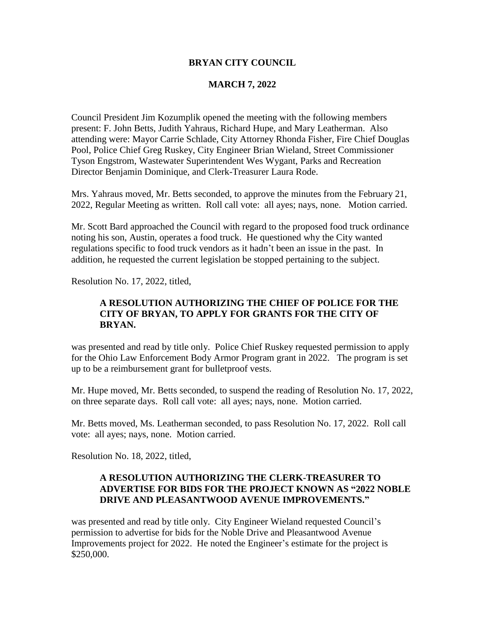#### **BRYAN CITY COUNCIL**

### **MARCH 7, 2022**

Council President Jim Kozumplik opened the meeting with the following members present: F. John Betts, Judith Yahraus, Richard Hupe, and Mary Leatherman. Also attending were: Mayor Carrie Schlade, City Attorney Rhonda Fisher, Fire Chief Douglas Pool, Police Chief Greg Ruskey, City Engineer Brian Wieland, Street Commissioner Tyson Engstrom, Wastewater Superintendent Wes Wygant, Parks and Recreation Director Benjamin Dominique, and Clerk-Treasurer Laura Rode.

Mrs. Yahraus moved, Mr. Betts seconded, to approve the minutes from the February 21, 2022, Regular Meeting as written. Roll call vote: all ayes; nays, none. Motion carried.

Mr. Scott Bard approached the Council with regard to the proposed food truck ordinance noting his son, Austin, operates a food truck. He questioned why the City wanted regulations specific to food truck vendors as it hadn't been an issue in the past. In addition, he requested the current legislation be stopped pertaining to the subject.

Resolution No. 17, 2022, titled,

# **A RESOLUTION AUTHORIZING THE CHIEF OF POLICE FOR THE CITY OF BRYAN, TO APPLY FOR GRANTS FOR THE CITY OF BRYAN.**

was presented and read by title only. Police Chief Ruskey requested permission to apply for the Ohio Law Enforcement Body Armor Program grant in 2022. The program is set up to be a reimbursement grant for bulletproof vests.

Mr. Hupe moved, Mr. Betts seconded, to suspend the reading of Resolution No. 17, 2022, on three separate days. Roll call vote: all ayes; nays, none. Motion carried.

Mr. Betts moved, Ms. Leatherman seconded, to pass Resolution No. 17, 2022. Roll call vote: all ayes; nays, none. Motion carried.

Resolution No. 18, 2022, titled,

### **A RESOLUTION AUTHORIZING THE CLERK-TREASURER TO ADVERTISE FOR BIDS FOR THE PROJECT KNOWN AS "2022 NOBLE DRIVE AND PLEASANTWOOD AVENUE IMPROVEMENTS."**

was presented and read by title only. City Engineer Wieland requested Council's permission to advertise for bids for the Noble Drive and Pleasantwood Avenue Improvements project for 2022. He noted the Engineer's estimate for the project is \$250,000.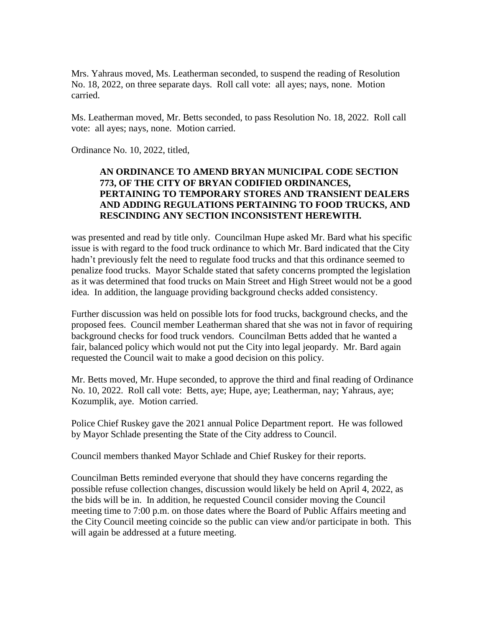Mrs. Yahraus moved, Ms. Leatherman seconded, to suspend the reading of Resolution No. 18, 2022, on three separate days. Roll call vote: all ayes; nays, none. Motion carried.

Ms. Leatherman moved, Mr. Betts seconded, to pass Resolution No. 18, 2022. Roll call vote: all ayes; nays, none. Motion carried.

Ordinance No. 10, 2022, titled,

# **AN ORDINANCE TO AMEND BRYAN MUNICIPAL CODE SECTION 773, OF THE CITY OF BRYAN CODIFIED ORDINANCES, PERTAINING TO TEMPORARY STORES AND TRANSIENT DEALERS AND ADDING REGULATIONS PERTAINING TO FOOD TRUCKS, AND RESCINDING ANY SECTION INCONSISTENT HEREWITH.**

was presented and read by title only. Councilman Hupe asked Mr. Bard what his specific issue is with regard to the food truck ordinance to which Mr. Bard indicated that the City hadn't previously felt the need to regulate food trucks and that this ordinance seemed to penalize food trucks. Mayor Schalde stated that safety concerns prompted the legislation as it was determined that food trucks on Main Street and High Street would not be a good idea. In addition, the language providing background checks added consistency.

Further discussion was held on possible lots for food trucks, background checks, and the proposed fees. Council member Leatherman shared that she was not in favor of requiring background checks for food truck vendors. Councilman Betts added that he wanted a fair, balanced policy which would not put the City into legal jeopardy. Mr. Bard again requested the Council wait to make a good decision on this policy.

Mr. Betts moved, Mr. Hupe seconded, to approve the third and final reading of Ordinance No. 10, 2022. Roll call vote: Betts, aye; Hupe, aye; Leatherman, nay; Yahraus, aye; Kozumplik, aye. Motion carried.

Police Chief Ruskey gave the 2021 annual Police Department report. He was followed by Mayor Schlade presenting the State of the City address to Council.

Council members thanked Mayor Schlade and Chief Ruskey for their reports.

Councilman Betts reminded everyone that should they have concerns regarding the possible refuse collection changes, discussion would likely be held on April 4, 2022, as the bids will be in. In addition, he requested Council consider moving the Council meeting time to 7:00 p.m. on those dates where the Board of Public Affairs meeting and the City Council meeting coincide so the public can view and/or participate in both. This will again be addressed at a future meeting.